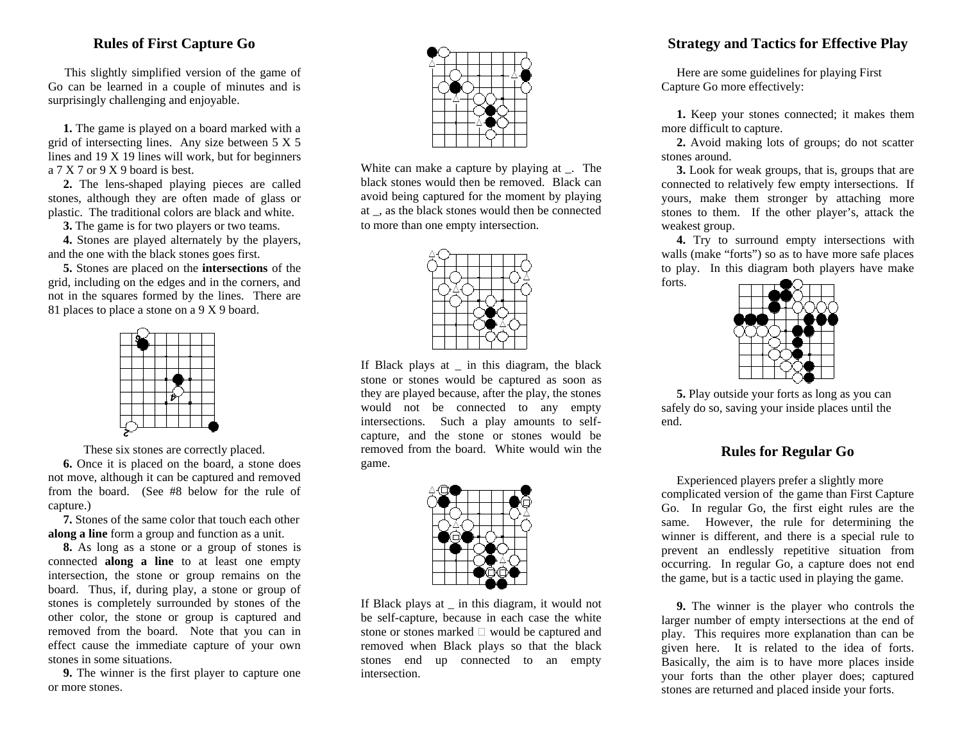#### **Rules of First Capture Go**

This slightly simplified version of the game of Go can be learned in a couple of minutes and is surprisingly challenging and enjoyable.

 **1.** The game is played on a board marked with a grid of intersecting lines. Any size between 5 X 5 lines and 19 X 19 lines will work, but for beginners a 7 X 7 or 9 X 9 board is best.

 **2.** The lens-shaped playing pieces are called stones, although they are often made of glass or plastic. The traditional colors are black and white.

**3.** The game is for two players or two teams.

 **4.** Stones are played alternately by the players, and the one with the black stones goes first.

 **5.** Stones are placed on the **intersections** of the grid, including on the edges and in the corners, and not in the squares formed by the lines. There are 81 places to place a stone on a 9 X 9 board.



These six stones are correctly placed.

 **6.** Once it is placed on the board, a stone does not move, although it can be captured and removed from the board. (See #8 below for the rule of capture.)

 **7.** Stones of the same color that touch each other **along a line** form a group and function as a unit.

 **8.** As long as a stone or a group of stones is connected **along a line** to at least one empty intersection, the stone or group remains on the board. Thus, if, during play, a stone or group of stones is completely surrounded by stones of the other color, the stone or group is captured and removed from the board. Note that you can in effect cause the immediate capture of your own stones in some situations.

 **9.** The winner is the first player to capture one or more stones.



White can make a capture by playing at . The black stones would then be removed. Black can avoid being captured for the moment by playing at \_, as the black stones would then be connected to more than one empty intersection.



If Black plays at \_ in this diagram, the black stone or stones would be captured as soon as they are played because, after the play, the stones would not be connected to any empty intersections. Such a play amounts to selfcapture, and the stone or stones would be removed from the board. White would win the game.



If Black plays at \_ in this diagram, it would not be self-capture, because in each case the white stone or stones marked é would be captured and removed when Black plays so that the black stones end up connected to an empty intersection.

### **Strategy and Tactics for Effective Play**

 Here are some guidelines for playing First Capture Go more effectively:

 **1.** Keep your stones connected; it makes them more difficult to capture.

 **2.** Avoid making lots of groups; do not scatter stones around.

 **3.** Look for weak groups, that is, groups that are connected to relatively few empty intersections. If yours, make them stronger by attaching more stones to them. If the other player's, attack the weakest group.

 **4.** Try to surround empty intersections with walls (make "forts") so as to have more safe places to play. In this diagram both players have make forts.



 **5.** Play outside your forts as long as you can safely do so, saving your inside places until the end.

#### **Rules for Regular Go**

 Experienced players prefer a slightly more complicated version of the game than First Capture Go. In regular Go, the first eight rules are the same. However, the rule for determining the winner is different, and there is a special rule to prevent an endlessly repetitive situation from occurring. In regular Go, a capture does not end the game, but is a tactic used in playing the game.

 **9.** The winner is the player who controls the larger number of empty intersections at the end of play. This requires more explanation than can be given here. It is related to the idea of forts. Basically, the aim is to have more places inside your forts than the other player does; captured stones are returned and placed inside your forts.